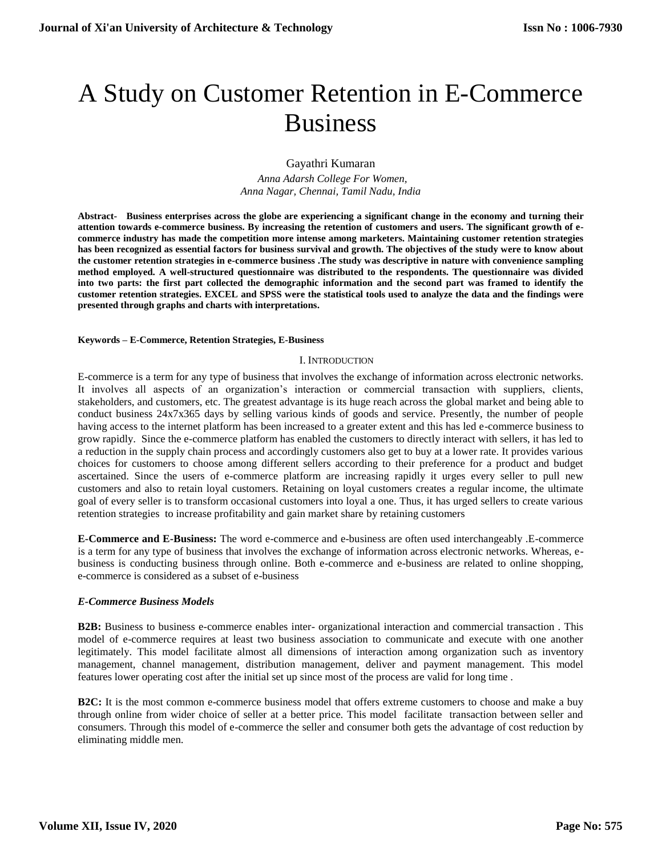# A Study on Customer Retention in E-Commerce Business

Gayathri Kumaran

 *Anna Adarsh College For Women, Anna Nagar, Chennai, Tamil Nadu, India*

**Abstract- Business enterprises across the globe are experiencing a significant change in the economy and turning their attention towards e-commerce business. By increasing the retention of customers and users. The significant growth of ecommerce industry has made the competition more intense among marketers. Maintaining customer retention strategies has been recognized as essential factors for business survival and growth. The objectives of the study were to know about the customer retention strategies in e-commerce business .The study was descriptive in nature with convenience sampling method employed. A well-structured questionnaire was distributed to the respondents. The questionnaire was divided into two parts: the first part collected the demographic information and the second part was framed to identify the customer retention strategies. EXCEL and SPSS were the statistical tools used to analyze the data and the findings were presented through graphs and charts with interpretations.**

## **Keywords – E-Commerce, Retention Strategies, E-Business**

## I. INTRODUCTION

E-commerce is a term for any type of business that involves the exchange of information across electronic networks. It involves all aspects of an organization's interaction or commercial transaction with suppliers, clients, stakeholders, and customers, etc. The greatest advantage is its huge reach across the global market and being able to conduct business 24x7x365 days by selling various kinds of goods and service. Presently, the number of people having access to the internet platform has been increased to a greater extent and this has led e-commerce business to grow rapidly. Since the e-commerce platform has enabled the customers to directly interact with sellers, it has led to a reduction in the supply chain process and accordingly customers also get to buy at a lower rate. It provides various choices for customers to choose among different sellers according to their preference for a product and budget ascertained. Since the users of e-commerce platform are increasing rapidly it urges every seller to pull new customers and also to retain loyal customers. Retaining on loyal customers creates a regular income, the ultimate goal of every seller is to transform occasional customers into loyal a one. Thus, it has urged sellers to create various retention strategies to increase profitability and gain market share by retaining customers

**E-Commerce and E-Business:** The word e-commerce and e-business are often used interchangeably .E-commerce is a term for any type of business that involves the exchange of information across electronic networks. Whereas, ebusiness is conducting business through online. Both e-commerce and e-business are related to online shopping, e-commerce is considered as a subset of e-business

## *E-Commerce Business Models*

**B2B:** Business to business e-commerce enables inter- organizational interaction and commercial transaction . This model of e-commerce requires at least two business association to communicate and execute with one another legitimately. This model facilitate almost all dimensions of interaction among organization such as inventory management, channel management, distribution management, deliver and payment management. This model features lower operating cost after the initial set up since most of the process are valid for long time .

**B2C:** It is the most common e-commerce business model that offers extreme customers to choose and make a buy through online from wider choice of seller at a better price. This model facilitate transaction between seller and consumers. Through this model of e-commerce the seller and consumer both gets the advantage of cost reduction by eliminating middle men.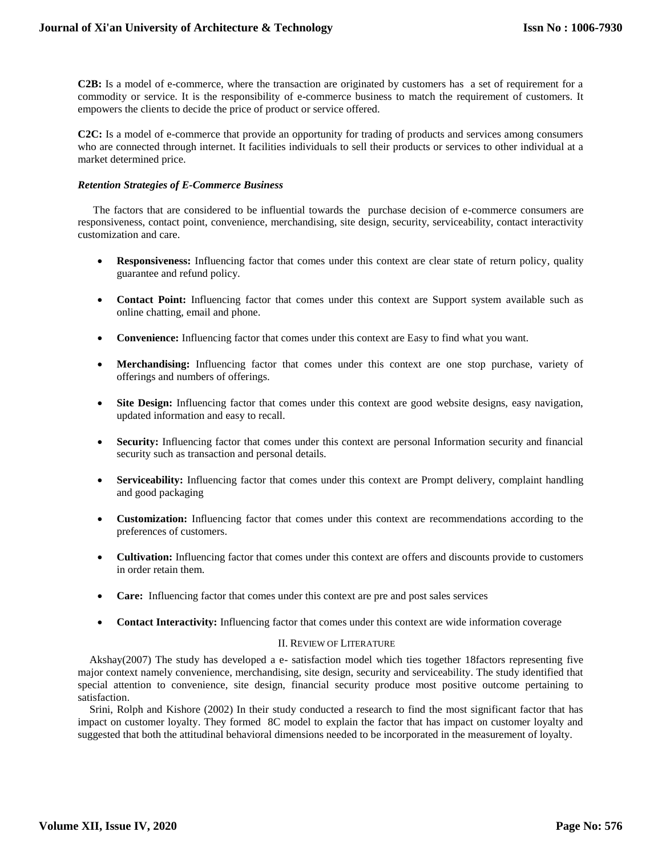**C2B:** Is a model of e-commerce, where the transaction are originated by customers has a set of requirement for a commodity or service. It is the responsibility of e-commerce business to match the requirement of customers. It empowers the clients to decide the price of product or service offered.

**C2C:** Is a model of e-commerce that provide an opportunity for trading of products and services among consumers who are connected through internet. It facilities individuals to sell their products or services to other individual at a market determined price.

## *Retention Strategies of E-Commerce Business*

The factors that are considered to be influential towards the purchase decision of e-commerce consumers are responsiveness, contact point, convenience, merchandising, site design, security, serviceability, contact interactivity customization and care.

- **Responsiveness:** Influencing factor that comes under this context are clear state of return policy, quality guarantee and refund policy.
- **Contact Point:** Influencing factor that comes under this context are Support system available such as online chatting, email and phone.
- **Convenience:** Influencing factor that comes under this context are Easy to find what you want.
- **Merchandising:** Influencing factor that comes under this context are one stop purchase, variety of offerings and numbers of offerings.
- **Site Design:** Influencing factor that comes under this context are good website designs, easy navigation, updated information and easy to recall.
- **Security:** Influencing factor that comes under this context are personal Information security and financial security such as transaction and personal details.
- **Serviceability:** Influencing factor that comes under this context are Prompt delivery, complaint handling and good packaging
- **Customization:** Influencing factor that comes under this context are recommendations according to the preferences of customers.
- **Cultivation:** Influencing factor that comes under this context are offers and discounts provide to customers in order retain them.
- **Care:** Influencing factor that comes under this context are pre and post sales services
- **Contact Interactivity:** Influencing factor that comes under this context are wide information coverage

## II. REVIEW OF LITERATURE

Akshay(2007) The study has developed a e- satisfaction model which ties together 18factors representing five major context namely convenience, merchandising, site design, security and serviceability. The study identified that special attention to convenience, site design, financial security produce most positive outcome pertaining to satisfaction.

Srini, Rolph and Kishore (2002) In their study conducted a research to find the most significant factor that has impact on customer loyalty. They formed 8C model to explain the factor that has impact on customer loyalty and suggested that both the attitudinal behavioral dimensions needed to be incorporated in the measurement of loyalty.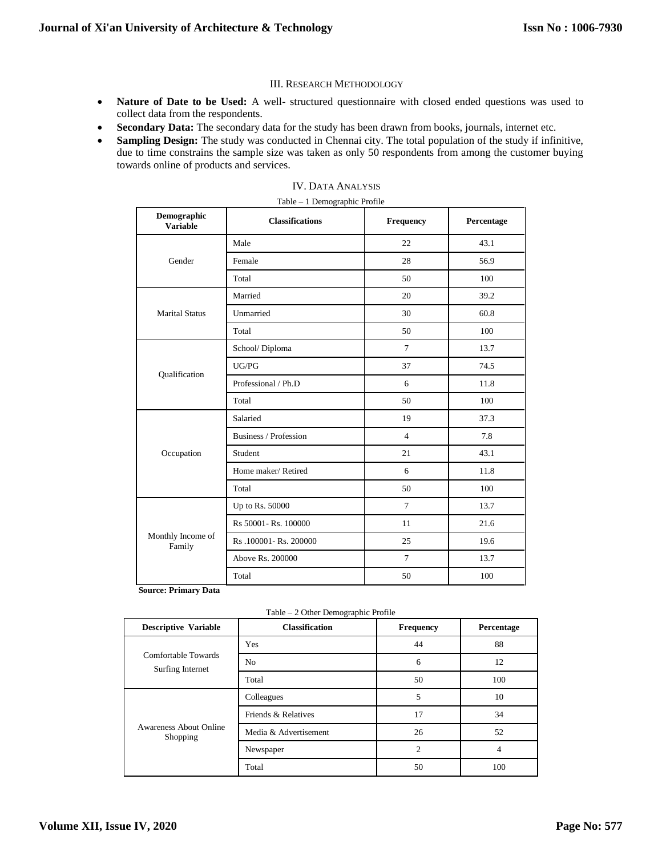## III. RESEARCH METHODOLOGY

- **Nature of Date to be Used:** A well- structured questionnaire with closed ended questions was used to collect data from the respondents.
- **Secondary Data:** The secondary data for the study has been drawn from books, journals, internet etc.
- **Sampling Design:** The study was conducted in Chennai city. The total population of the study if infinitive, due to time constrains the sample size was taken as only 50 respondents from among the customer buying towards online of products and services.

| Table - 1 Demographic Profile  |                        |                |            |  |  |
|--------------------------------|------------------------|----------------|------------|--|--|
| Demographic<br><b>Variable</b> | <b>Classifications</b> | Frequency      | Percentage |  |  |
|                                | Male                   | 22             | 43.1       |  |  |
| Gender                         | Female                 | 28             | 56.9       |  |  |
|                                | Total                  | 50             | 100        |  |  |
|                                | Married                | 20             | 39.2       |  |  |
| <b>Marital Status</b>          | Unmarried              | 30             | 60.8       |  |  |
|                                | Total                  | 50             | 100        |  |  |
| Qualification                  | School/Diploma         | $\overline{7}$ | 13.7       |  |  |
|                                | UG/PG                  | 37             | 74.5       |  |  |
|                                | Professional / Ph.D    | 6              | 11.8       |  |  |
|                                | Total                  | 50             | 100        |  |  |
|                                | Salaried               | 19             | 37.3       |  |  |
|                                | Business / Profession  | $\overline{4}$ | 7.8        |  |  |
| Occupation                     | Student                | 21             | 43.1       |  |  |
|                                | Home maker/Retired     | 6              | 11.8       |  |  |
|                                | Total                  | 50             | 100        |  |  |
|                                | Up to Rs. 50000        | $\overline{7}$ | 13.7       |  |  |
|                                | Rs 50001- Rs. 100000   | 11             | 21.6       |  |  |
| Monthly Income of<br>Family    | Rs.100001-Rs.200000    | 25             | 19.6       |  |  |
|                                | Above Rs. 200000       | $\overline{7}$ | 13.7       |  |  |
|                                | Total                  | 50             | 100        |  |  |

## IV. DATA ANALYSIS

 **Source: Primary Data**

|  |  |  | Table – 2 Other Demographic Profile |  |
|--|--|--|-------------------------------------|--|
|--|--|--|-------------------------------------|--|

| <b>Descriptive Variable</b>             | <b>Classification</b> | <b>Frequency</b>                    | Percentage |
|-----------------------------------------|-----------------------|-------------------------------------|------------|
|                                         | Yes                   | 44                                  | 88         |
| Comfortable Towards<br>Surfing Internet | N <sub>o</sub>        | 6                                   | 12         |
|                                         | Total                 | 50<br>5<br>17<br>26<br>2<br>4<br>50 | 100        |
|                                         | Colleagues            |                                     | 10         |
|                                         | Friends & Relatives   |                                     | 34         |
| Awareness About Online<br>Shopping      | Media & Advertisement |                                     | 52         |
| Newspaper                               |                       |                                     |            |
|                                         | Total                 |                                     | 100        |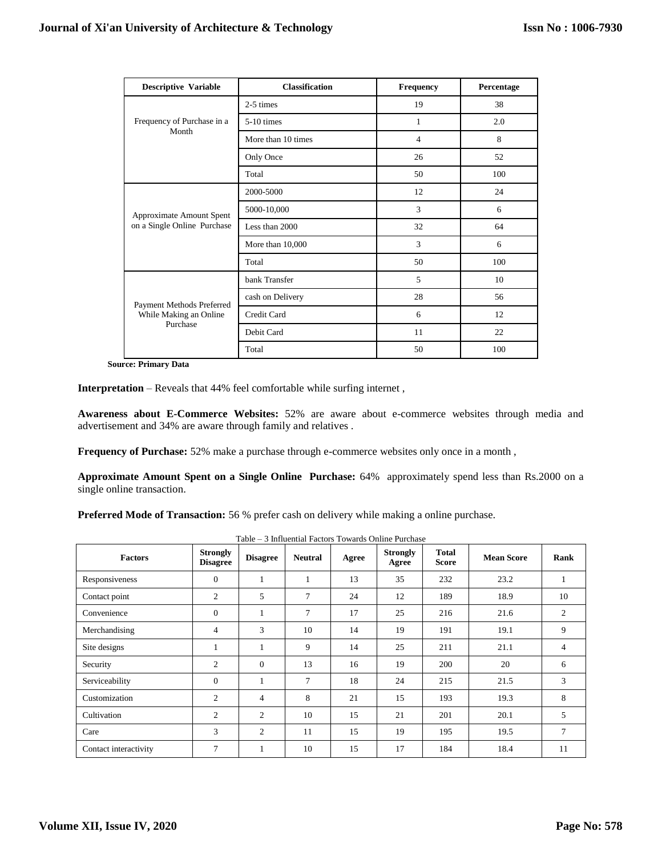| <b>Descriptive Variable</b>                                     | <b>Classification</b> | <b>Frequency</b> | Percentage |  |
|-----------------------------------------------------------------|-----------------------|------------------|------------|--|
|                                                                 | 2-5 times             | 19               | 38         |  |
| Frequency of Purchase in a                                      | $5-10$ times          | 1                | 2.0        |  |
| Month                                                           | More than 10 times    | $\overline{4}$   | 8          |  |
|                                                                 | Only Once             | 26               | 52         |  |
|                                                                 | Total                 | 50               | 100        |  |
| Approximate Amount Spent<br>on a Single Online Purchase         | 2000-5000             | 12               | 24         |  |
|                                                                 | 5000-10,000           | 3                | 6          |  |
|                                                                 | Less than 2000        | 32               | 64         |  |
|                                                                 | More than $10,000$    | 3                | 6          |  |
|                                                                 | Total                 | 50               | 100        |  |
| Payment Methods Preferred<br>While Making an Online<br>Purchase | bank Transfer         | 5                | 10         |  |
|                                                                 | cash on Delivery      | 28               | 56         |  |
|                                                                 | Credit Card           | 6                | 12         |  |
|                                                                 | Debit Card            | 11               | 22         |  |
|                                                                 | Total                 | 50               | 100        |  |

**Source: Primary Data**

**Interpretation** – Reveals that 44% feel comfortable while surfing internet ,

**Awareness about E-Commerce Websites:** 52% are aware about e-commerce websites through media and advertisement and 34% are aware through family and relatives .

**Frequency of Purchase:** 52% make a purchase through e-commerce websites only once in a month ,

**Approximate Amount Spent on a Single Online Purchase:** 64% approximately spend less than Rs.2000 on a single online transaction.

**Preferred Mode of Transaction:** 56 % prefer cash on delivery while making a online purchase.

| <b>Factors</b>        | <b>Strongly</b><br><b>Disagree</b> | <b>Disagree</b> | <b>Neutral</b> | Agree | <b>Strongly</b><br>Agree | Total<br><b>Score</b> | <b>Mean Score</b> | Rank           |
|-----------------------|------------------------------------|-----------------|----------------|-------|--------------------------|-----------------------|-------------------|----------------|
| Responsiveness        | $\mathbf{0}$                       | 1               | 1              | 13    | 35                       | 232                   | 23.2              | $\mathbf{1}$   |
| Contact point         | 2                                  | 5               | $\tau$         | 24    | 12                       | 189                   | 18.9              | 10             |
| Convenience           | $\overline{0}$                     | 1               | $\tau$         | 17    | 25                       | 216                   | 21.6              | $\overline{c}$ |
| Merchandising         | $\overline{4}$                     | 3               | 10             | 14    | 19                       | 191                   | 19.1              | 9              |
| Site designs          | 1                                  | 1               | 9              | 14    | 25                       | 211                   | 21.1              | $\overline{4}$ |
| Security              | $\overline{2}$                     | $\Omega$        | 13             | 16    | 19                       | 200                   | 20                | 6              |
| Serviceability        | $\mathbf{0}$                       | 1               | $\tau$         | 18    | 24                       | 215                   | 21.5              | 3              |
| Customization         | 2                                  | $\overline{4}$  | 8              | 21    | 15                       | 193                   | 19.3              | 8              |
| Cultivation           | $\overline{2}$                     | $\overline{c}$  | 10             | 15    | 21                       | 201                   | 20.1              | 5              |
| Care                  | 3                                  | 2               | 11             | 15    | 19                       | 195                   | 19.5              | $\overline{7}$ |
| Contact interactivity | $\overline{7}$                     | 1               | 10             | 15    | 17                       | 184                   | 18.4              | 11             |

Table – 3 Influential Factors Towards Online Purchase